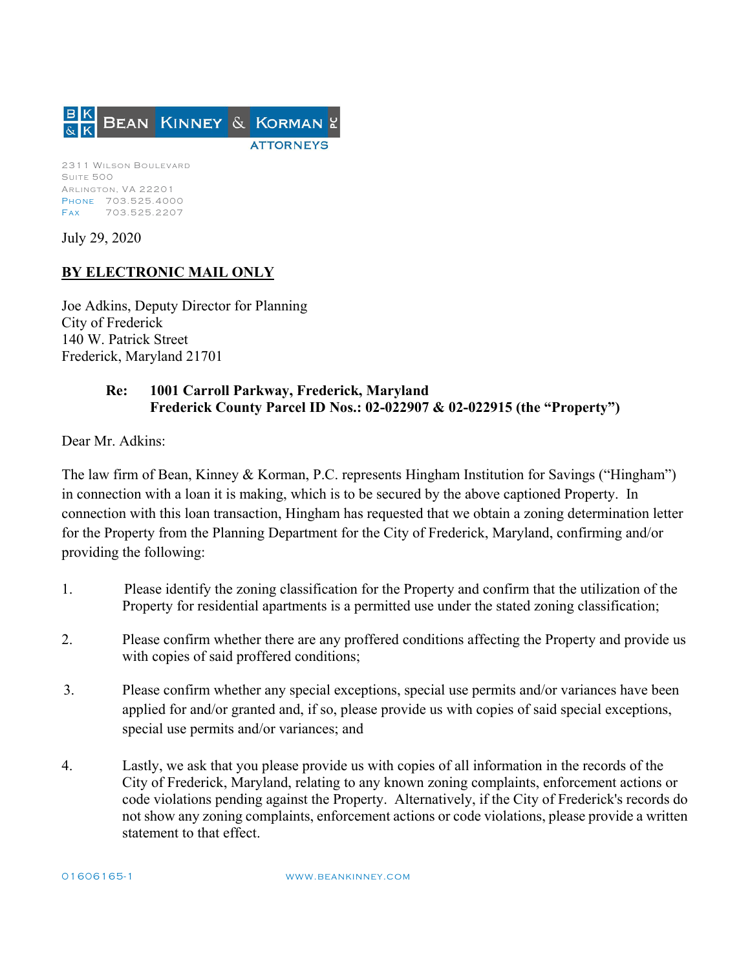

July 29, 2020

## **BY ELECTRONIC MAIL ONLY**

Joe Adkins, Deputy Director for Planning City of Frederick 140 W. Patrick Street Frederick, Maryland 21701

## **Re: 1001 Carroll Parkway, Frederick, Maryland Frederick County Parcel ID Nos.: 02-022907 & 02-022915 (the "Property")**

Dear Mr. Adkins:

The law firm of Bean, Kinney & Korman, P.C. represents Hingham Institution for Savings ("Hingham") in connection with a loan it is making, which is to be secured by the above captioned Property. In connection with this loan transaction, Hingham has requested that we obtain a zoning determination letter for the Property from the Planning Department for the City of Frederick, Maryland, confirming and/or providing the following:

- 1. Please identify the zoning classification for the Property and confirm that the utilization of the Property for residential apartments is a permitted use under the stated zoning classification;
- 2. Please confirm whether there are any proffered conditions affecting the Property and provide us with copies of said proffered conditions;
- 3. Please confirm whether any special exceptions, special use permits and/or variances have been applied for and/or granted and, if so, please provide us with copies of said special exceptions, special use permits and/or variances; and
- 4. Lastly, we ask that you please provide us with copies of all information in the records of the City of Frederick, Maryland, relating to any known zoning complaints, enforcement actions or code violations pending against the Property. Alternatively, if the City of Frederick's records do not show any zoning complaints, enforcement actions or code violations, please provide a written statement to that effect.